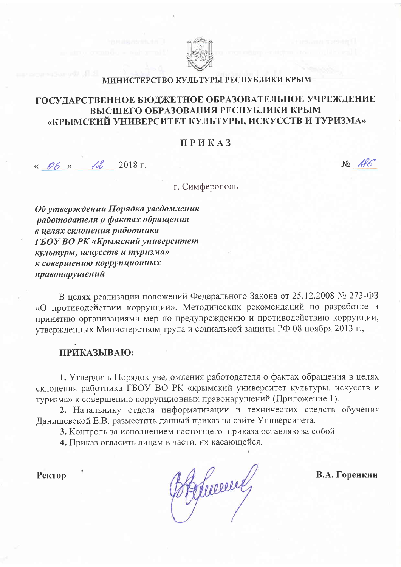

## МИНИСТЕРСТВО КУЛЬТУРЫ РЕСПУБЛИКИ КРЫМ

## ГОСУЛАРСТВЕННОЕ БЮДЖЕТНОЕ ОБРАЗОВАТЕЛЬНОЕ УЧРЕЖДЕНИЕ ВЫСШЕГО ОБРАЗОВАНИЯ РЕСПУБЛИКИ КРЫМ «КРЫМСКИЙ УНИВЕРСИТЕТ КУЛЬТУРЫ, ИСКУССТВ И ТУРИЗМА»

### ПРИКАЗ

« 06 » 12 2018 г.

 $N_2$   $A6$ 

г. Симферополь

Об утверждении Порядка уведомления работодателя о фактах обращения в целях склонения работника ГБОУ ВО РК «Крымский университет культуры, искусств и туризма» к совершению коррупционных правонарушений

В целях реализации положений Федерального Закона от 25.12.2008 № 273-ФЗ «О противодействии коррупции», Методических рекомендаций по разработке и принятию организациями мер по предупреждению и противодействию коррупции, утвержденных Министерством труда и социальной защиты РФ 08 ноября 2013 г.,

## ПРИКАЗЫВАЮ:

1. Утвердить Порядок уведомления работодателя о фактах обращения в целях склонения работника ГБОУ ВО РК «крымский университет культуры, искусств и туризма» к совершению коррупционных правонарушений (Приложение 1).

2. Начальнику отдела информатизации и технических средств обучения Данишевской Е.В. разместить данный приказ на сайте Университета.

3. Контроль за исполнением настоящего приказа оставляю за собой.

4. Приказ огласить лицам в части, их касающейся.

Ректор

Hermen

В.А. Горенкин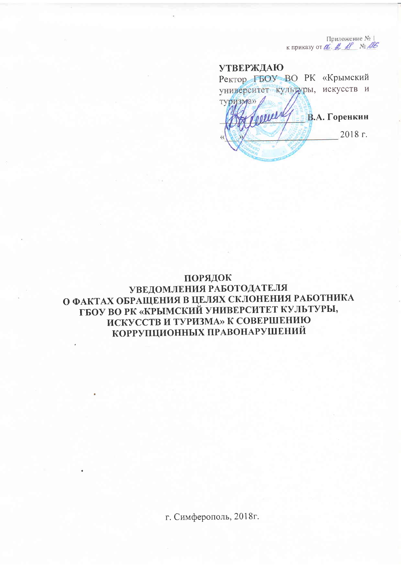Приложение № 1 к приказу от С. А. А. М. М.

# **УТВЕРЖДАЮ** Ректор ГБОУ ВО РК «Крымский

университет культуры, искусств и туризма» perere В.А. Горенкин 2018 г.

# ПОРЯДОК УВЕДОМЛЕНИЯ РАБОТОДАТЕЛЯ О ФАКТАХ ОБРАЩЕНИЯ В ЦЕЛЯХ СКЛОНЕНИЯ РАБОТНИКА ГБОУ ВО РК «КРЫМСКИЙ УНИВЕРСИТЕТ КУЛЬТУРЫ, ИСКУССТВ И ТУРИЗМА» К СОВЕРШЕНИЮ КОРРУПЦИОННЫХ ПРАВОНАРУШЕНИЙ

г. Симферополь, 2018г.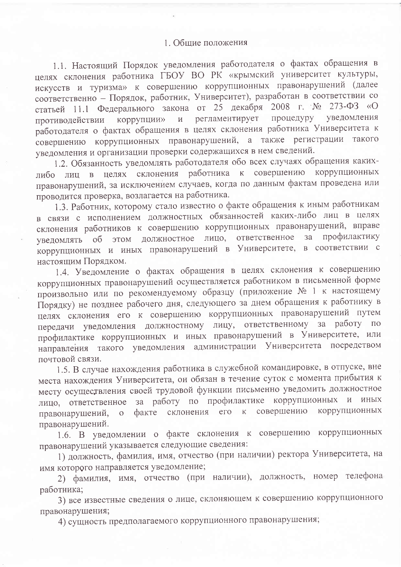1.1. Настоящий Порядок уведомления работодателя о фактах обращения в целях склонения работника ГБОУ ВО РК «крымский университет культуры, искусств и туризма» к совершению коррупционных правонарушений (далее соответственно - Порядок, работник, Университет), разработан в соответствии со статьей 11.1 Федерального закона от 25 декабря 2008 г. № 273-ФЗ «О коррупции» и регламентирует процедуру уведомления противодействии работодателя о фактах обращения в целях склонения работника Университета к совершению коррупционных правонарушений, а также регистрации такого уведомления и организации проверки содержащихся в нем сведений.

1.2. Обязанность уведомлять работодателя обо всех случаях обращения какихлибо лиц в целях склонения работника к совершению коррупционных правонарушений, за исключением случаев, когда по данным фактам проведена или проводится проверка, возлагается на работника.

1.3. Работник, которому стало известно о факте обращения к иным работникам в связи с исполнением должностных обязанностей каких-либо лиц в целях склонения работников к совершению коррупционных правонарушений, вправе уведомлять об этом должностное лицо, ответственное  $3a$ профилактику коррупционных и иных правонарушений в Университете, в соответствии с настоящим Порядком.

1.4. Уведомление о фактах обращения в целях склонения к совершению коррупционных правонарушений осуществляется работником в письменной форме произвольно или по рекомендуемому образцу (приложение № 1 к настоящему Порядку) не позднее рабочего дня, следующего за днем обращения к работнику в целях склонения его к совершению коррупционных правонарушений путем передачи уведомления должностному лицу, ответственному за работу по профилактике коррупционных и иных правонарушений в Университете, или направления такого уведомления администрации Университета посредством почтовой связи.

1.5. В случае нахождения работника в служебной командировке, в отпуске, вне места нахождения Университета, он обязан в течение суток с момента прибытия к месту осуществления своей трудовой функции письменно уведомить должностное лицо, ответственное за работу по профилактике коррупционных и иных факте склонения его к совершению коррупционных правонарушений,  $\overline{O}$ правонарушений.

1.6. В уведомлении о факте склонения к совершению коррупционных правонарушений указывается следующие сведения:

1) должность, фамилия, имя, отчество (при наличии) ректора Университета, на имя которого направляется уведомление;

2) фамилия, имя, отчество (при наличии), должность, номер телефона работника;

3) все известные сведения о лице, склоняющем к совершению коррупционного правонарушения;

4) сущность предполагаемого коррупционного правонарушения;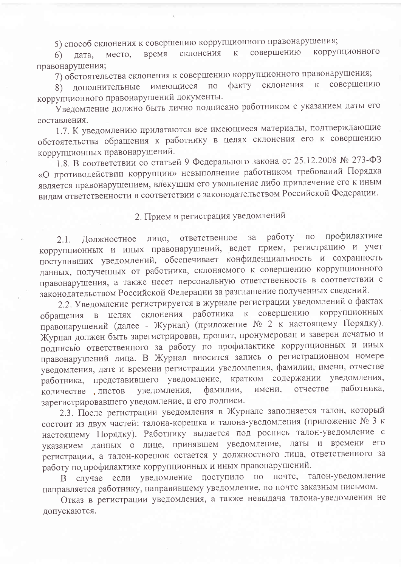5) способ склонения к совершению коррупционного правонарушения;

коррупционного совершению время склонения  $\rm K$ место, дата,  $6)$ правонарушения;

7) обстоятельства склонения к совершению коррупционного правонарушения;

совершению факту склонения  $K$ имеющиеся по 8) дополнительные коррупционного правонарушений документы.

Уведомление должно быть лично подписано работником с указанием даты его составления.

1.7. К уведомлению прилагаются все имеющиеся материалы, подтверждающие обстоятельства обращения к работнику в целях склонения его к совершению коррупционных правонарушений.

1.8. В соответствии со статьей 9 Федерального закона от 25.12.2008 № 273-ФЗ «О противодействии коррупции» невыполнение работником требований Порядка является правонарушением, влекущим его увольнение либо привлечение его к иным видам ответственности в соответствии с законодательством Российской Федерации.

# 2. Прием и регистрация уведомлений

работу по профилактике ответственное за Должностное лицо,  $2.1.$ коррупционных и иных правонарушений, ведет прием, регистрацию и учет поступивших уведомлений, обеспечивает конфиденциальность и сохранность данных, полученных от работника, склоняемого к совершению коррупционного правонарушения, а также несет персональную ответственность в соответствии с законодательством Российской Федерации за разглашение полученных сведений.

2.2. Уведомление регистрируется в журнале регистрации уведомлений о фактах обращения в целях склонения работника к совершению коррупционных правонарушений (далее - Журнал) (приложение № 2 к настоящему Порядку). Журнал должен быть зарегистрирован, прошит, пронумерован и заверен печатью и подписью ответственного за работу по профилактике коррупционных и иных правонарушений лица. В Журнал вносится запись о регистрационном номере уведомления, дате и времени регистрации уведомления, фамилии, имени, отчестве работника, представившего уведомление, кратком содержании уведомления, имени, отчестве работника. фамилии, уведомления, количестве листов зарегистрировавшего уведомление, и его подписи.

2.3. После регистрации уведомления в Журнале заполняется талон, который состоит из двух частей: талона-корешка и талона-уведомления (приложение № 3 к настоящему Порядку). Работнику выдается под роспись талон-уведомление с указанием данных о лице, принявшем уведомление, даты и времени его регистрации, а талон-корешок остается у должностного лица, ответственного за работу по профилактике коррупционных и иных правонарушений.

В случае если уведомление поступило по почте, талон-уведомление направляется работнику, направившему уведомление, по почте заказным письмом.

Отказ в регистрации уведомления, а также невыдача талона-уведомления не допускаются.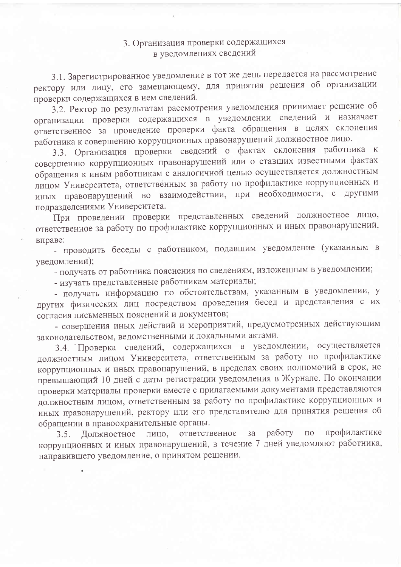# 3. Организация проверки содержащихся в уведомлениях сведений

3.1. Зарегистрированное уведомление в тот же день передается на рассмотрение ректору или лицу, его замещающему, для принятия решения об организации проверки содержащихся в нем сведений.

3.2. Ректор по результатам рассмотрения уведомления принимает решение об организации проверки содержащихся в уведомлении сведений и назначает ответственное за проведение проверки факта обращения в целях склонения работника к совершению коррупционных правонарушений должностное лицо.

3.3. Организация проверки сведений о фактах склонения работника к совершению коррупционных правонарушений или о ставших известными фактах обращения к иным работникам с аналогичной целью осуществляется должностным лицом Университета, ответственным за работу по профилактике коррупционных и иных правонарушений во взаимодействии, при необходимости, с другими подразделениями Университета.

При проведении проверки представленных сведений должностное лицо, ответственное за работу по профилактике коррупционных и иных правонарушений, вправе:

- проводить беседы с работником, подавшим уведомление (указанным в уведомлении);

- получать от работника пояснения по сведениям, изложенным в уведомлении;

- изучать представленные работникам материалы;

- получать информацию по обстоятельствам, указанным в уведомлении, у других физических лиц посредством проведения бесед и представления с их согласия письменных пояснений и документов;

- совершения иных действий и мероприятий, предусмотренных действующим законодательством, ведомственными и локальными актами.

3.4. Проверка сведений, содержащихся в уведомлении, осуществляется должностным лицом Университета, ответственным за работу по профилактике коррупционных и иных правонарушений, в пределах своих полномочий в срок, не превышающий 10 дней с даты регистрации уведомления в Журнале. По окончании проверки материалы проверки вместе с прилагаемыми документами представляются должностным лицом, ответственным за работу по профилактике коррупционных и иных правонарушений, ректору или его представителю для принятия решения об обращении в правоохранительные органы.

ответственное за работу по профилактике Должностное лицо,  $3.5.$ коррупционных и иных правонарушений, в течение 7 дней уведомляют работника, направившего уведомление, о принятом решении.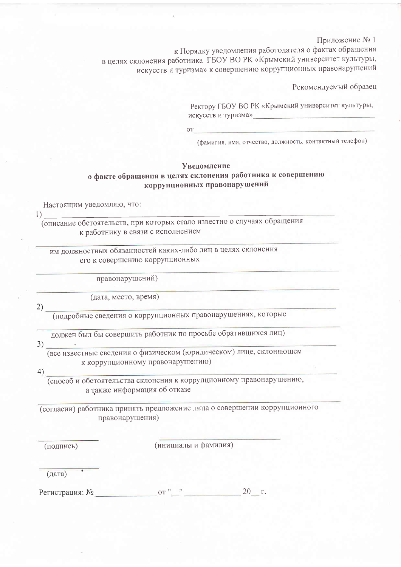Приложение № 1

к Порядку уведомления работодателя о фактах обращения в целях склонения работника ГБОУ ВО РК «Крымский университет культуры, искусств и туризма» к совершению коррупционных правонарушений

Рекомендуемый образец

Ректору ГБОУ ВО РК «Крымский университет культуры, искусств и туризма»

 $OT$ 

(фамилия, имя, отчество, должность, контактный телефон)

#### Уведомление о факте обращения в целях склонения работника к совершению коррупционных правонарушений

Настоящим уведомляю, что:

 $\Gamma$ 

(описание обстоятельств, при которых стало известно о случаях обращения к работнику в связи с исполнением

им должностных обязанностей каких-либо лиц в целях склонения его к совершению коррупционных

правонарушений)

(дата, место, время)

 $2)$ 

(подробные сведения о коррупционных правонарушениях, которые

должен был бы совершить работник по просьбе обратившихся лиц)

 $3)$ 

(все известные сведения о физическом (юридическом) лице, склоняющем к коррупционному правонарушению)

 $4)$ 

(способ и обстоятельства склонения к коррупционному правонарушению, а также информация об отказе

(согласии) работника принять предложение лица о совершении коррупционного правонарушения)

(подпись)

(инициалы и фамилия)

 $(*дата*)$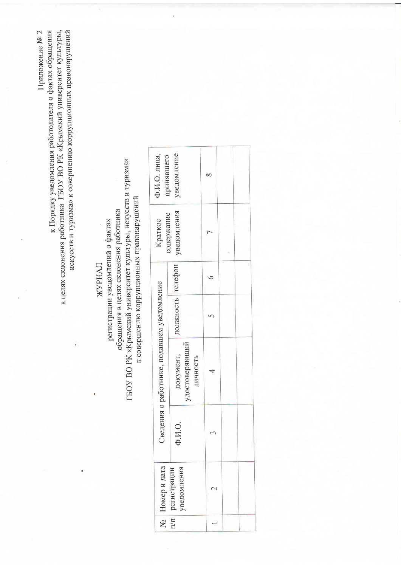| искусств и туризма» к совершению коррупционных правонарушений<br>к Порядку уведомления работодателя о фактах обращения<br>в целях склонения работника ГБОУ ВО РК «Крымский университет культуры,<br>Приложение № 2 |                                                                                                                        |                                |                                         |                          |  |  |
|--------------------------------------------------------------------------------------------------------------------------------------------------------------------------------------------------------------------|------------------------------------------------------------------------------------------------------------------------|--------------------------------|-----------------------------------------|--------------------------|--|--|
|                                                                                                                                                                                                                    |                                                                                                                        | Ф.И.О. лица,<br>принявшего     | уведомление                             | $\infty$                 |  |  |
|                                                                                                                                                                                                                    | к совершению коррупционных правонарушений<br>регистрации уведомлений о фактах<br>обращения в целях склонения работника | содержание<br>Краткое          | уведомления                             | Γ                        |  |  |
|                                                                                                                                                                                                                    | ЖУРНАЛ                                                                                                                 |                                |                                         | $\circ$                  |  |  |
|                                                                                                                                                                                                                    |                                                                                                                        | уведомление                    | должность телефон                       | $\overline{5}$           |  |  |
|                                                                                                                                                                                                                    | ГБОУ ВО РК «Крымский университет культуры, искусств и туризма»                                                         | Сведения о работнике, подавшем | удостоверяющий<br>документ,<br>личность | 4                        |  |  |
|                                                                                                                                                                                                                    |                                                                                                                        |                                | $\Phi$ .K.O.                            | 3                        |  |  |
|                                                                                                                                                                                                                    |                                                                                                                        | Номер и дата                   | уведомления<br>регистрации              | $\overline{\mathcal{C}}$ |  |  |
|                                                                                                                                                                                                                    |                                                                                                                        | ğ                              | $\frac{1}{\pi}$                         |                          |  |  |